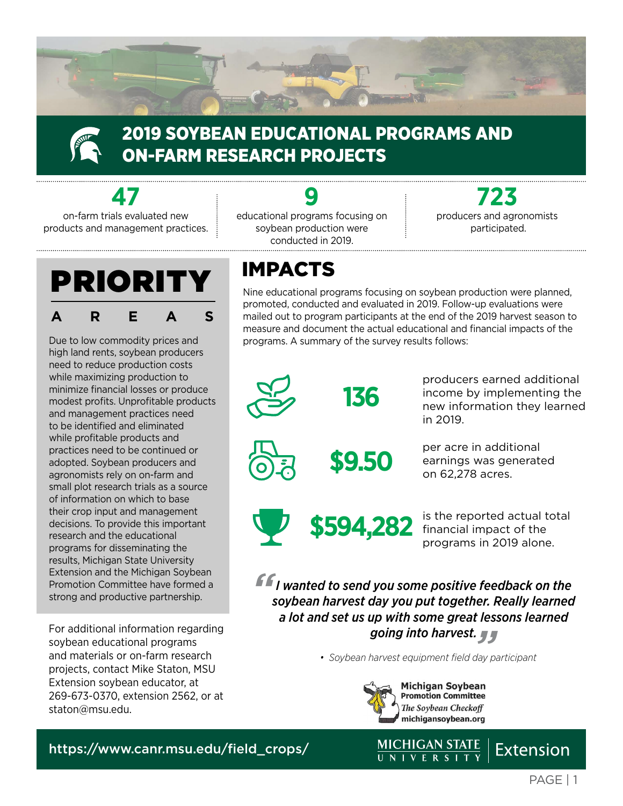

### 2019 SOYBEAN EDUCATIONAL PROGRAMS AND ON-FARM RESEARCH PROJECTS

**47**

on-farm trials evaluated new products and management practices.



Due to low commodity prices and high land rents, soybean producers need to reduce production costs while maximizing production to minimize financial losses or produce modest profits. Unprofitable products and management practices need to be identified and eliminated while profitable products and practices need to be continued or adopted. Soybean producers and agronomists rely on on-farm and small plot research trials as a source of information on which to base their crop input and management decisions. To provide this important research and the educational programs for disseminating the results, Michigan State University Extension and the Michigan Soybean Promotion Committee have formed a strong and productive partnership.

For additional information regarding soybean educational programs and materials or on-farm research projects, contact Mike Staton, MSU Extension soybean educator, at 269-673-0370, extension 2562, or at [staton@msu.edu](mailto:staton%40msu.edu?subject=).

**9** educational programs focusing on soybean production were conducted in 2019.

**723**  producers and agronomists participated.

### IMPACTS

Nine educational programs focusing on soybean production were planned, promoted, conducted and evaluated in 2019. Follow-up evaluations were mailed out to program participants at the end of the 2019 harvest season to measure and document the actual educational and financial impacts of the programs. A summary of the survey results follows:



**136**

producers earned additional income by implementing the new information they learned in 2019.



**\$9.50** per acre in additional<br>earnings was generate<br>on 62.278 acres earnings was generated on 62,278 acres.



\$594,282 financial impact of the programs in 2019 alone.

*" " going into harvest. I wanted to send you some positive feedback on the soybean harvest day you put together. Really learned a lot and set us up with some great lessons learned* 

*• Soybean harvest equipment field day participant*



[https://www.canr.msu.edu/field\\_crops/](https://www.canr.msu.edu/field_crops/)

**Extension**